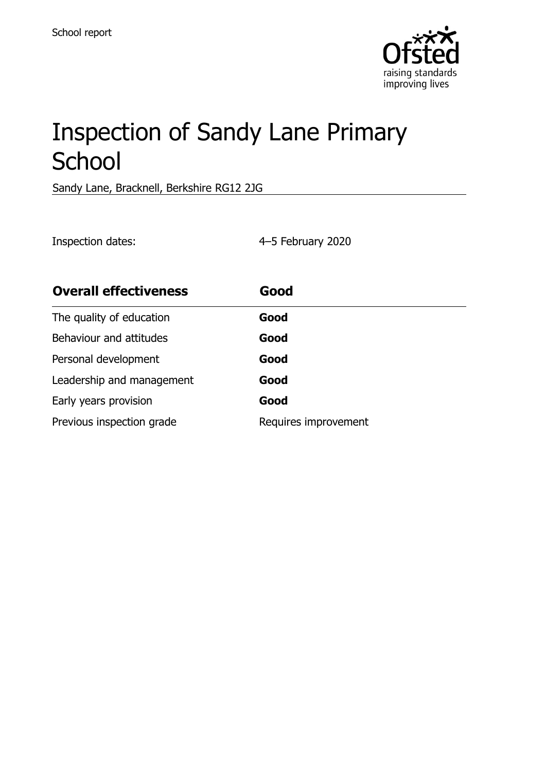

# Inspection of Sandy Lane Primary **School**

Sandy Lane, Bracknell, Berkshire RG12 2JG

Inspection dates: 4–5 February 2020

| <b>Overall effectiveness</b> | Good                 |
|------------------------------|----------------------|
| The quality of education     | Good                 |
| Behaviour and attitudes      | Good                 |
| Personal development         | Good                 |
| Leadership and management    | Good                 |
| Early years provision        | Good                 |
| Previous inspection grade    | Requires improvement |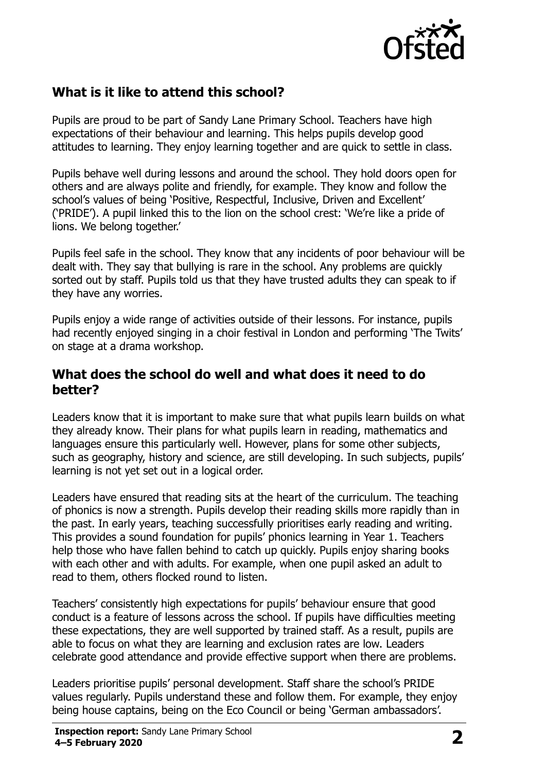

# **What is it like to attend this school?**

Pupils are proud to be part of Sandy Lane Primary School. Teachers have high expectations of their behaviour and learning. This helps pupils develop good attitudes to learning. They enjoy learning together and are quick to settle in class.

Pupils behave well during lessons and around the school. They hold doors open for others and are always polite and friendly, for example. They know and follow the school's values of being 'Positive, Respectful, Inclusive, Driven and Excellent' ('PRIDE'). A pupil linked this to the lion on the school crest: 'We're like a pride of lions. We belong together.'

Pupils feel safe in the school. They know that any incidents of poor behaviour will be dealt with. They say that bullying is rare in the school. Any problems are quickly sorted out by staff. Pupils told us that they have trusted adults they can speak to if they have any worries.

Pupils enjoy a wide range of activities outside of their lessons. For instance, pupils had recently enjoyed singing in a choir festival in London and performing 'The Twits' on stage at a drama workshop.

## **What does the school do well and what does it need to do better?**

Leaders know that it is important to make sure that what pupils learn builds on what they already know. Their plans for what pupils learn in reading, mathematics and languages ensure this particularly well. However, plans for some other subjects, such as geography, history and science, are still developing. In such subjects, pupils' learning is not yet set out in a logical order.

Leaders have ensured that reading sits at the heart of the curriculum. The teaching of phonics is now a strength. Pupils develop their reading skills more rapidly than in the past. In early years, teaching successfully prioritises early reading and writing. This provides a sound foundation for pupils' phonics learning in Year 1. Teachers help those who have fallen behind to catch up quickly. Pupils enjoy sharing books with each other and with adults. For example, when one pupil asked an adult to read to them, others flocked round to listen.

Teachers' consistently high expectations for pupils' behaviour ensure that good conduct is a feature of lessons across the school. If pupils have difficulties meeting these expectations, they are well supported by trained staff. As a result, pupils are able to focus on what they are learning and exclusion rates are low. Leaders celebrate good attendance and provide effective support when there are problems.

Leaders prioritise pupils' personal development. Staff share the school's PRIDE values regularly. Pupils understand these and follow them. For example, they enjoy being house captains, being on the Eco Council or being 'German ambassadors'.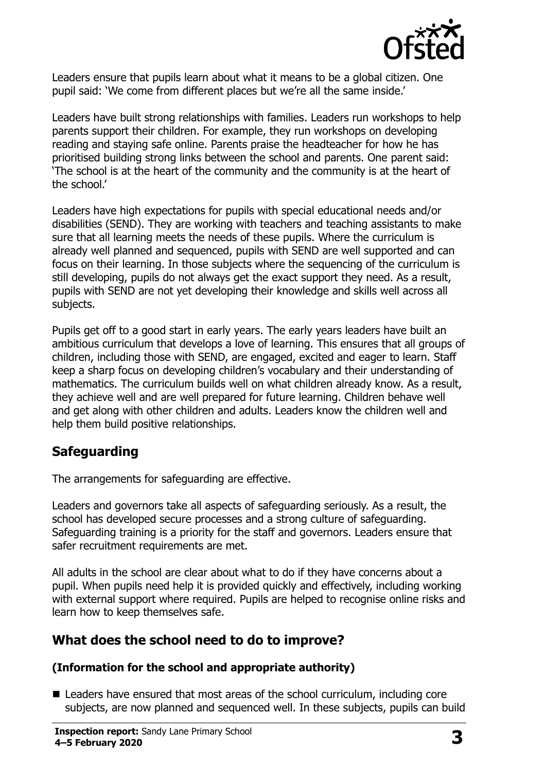

Leaders ensure that pupils learn about what it means to be a global citizen. One pupil said: 'We come from different places but we're all the same inside.'

Leaders have built strong relationships with families. Leaders run workshops to help parents support their children. For example, they run workshops on developing reading and staying safe online. Parents praise the headteacher for how he has prioritised building strong links between the school and parents. One parent said: 'The school is at the heart of the community and the community is at the heart of the school.'

Leaders have high expectations for pupils with special educational needs and/or disabilities (SEND). They are working with teachers and teaching assistants to make sure that all learning meets the needs of these pupils. Where the curriculum is already well planned and sequenced, pupils with SEND are well supported and can focus on their learning. In those subjects where the sequencing of the curriculum is still developing, pupils do not always get the exact support they need. As a result, pupils with SEND are not yet developing their knowledge and skills well across all subjects.

Pupils get off to a good start in early years. The early years leaders have built an ambitious curriculum that develops a love of learning. This ensures that all groups of children, including those with SEND, are engaged, excited and eager to learn. Staff keep a sharp focus on developing children's vocabulary and their understanding of mathematics. The curriculum builds well on what children already know. As a result, they achieve well and are well prepared for future learning. Children behave well and get along with other children and adults. Leaders know the children well and help them build positive relationships.

# **Safeguarding**

The arrangements for safeguarding are effective.

Leaders and governors take all aspects of safeguarding seriously. As a result, the school has developed secure processes and a strong culture of safeguarding. Safeguarding training is a priority for the staff and governors. Leaders ensure that safer recruitment requirements are met.

All adults in the school are clear about what to do if they have concerns about a pupil. When pupils need help it is provided quickly and effectively, including working with external support where required. Pupils are helped to recognise online risks and learn how to keep themselves safe.

## **What does the school need to do to improve?**

#### **(Information for the school and appropriate authority)**

■ Leaders have ensured that most areas of the school curriculum, including core subjects, are now planned and sequenced well. In these subjects, pupils can build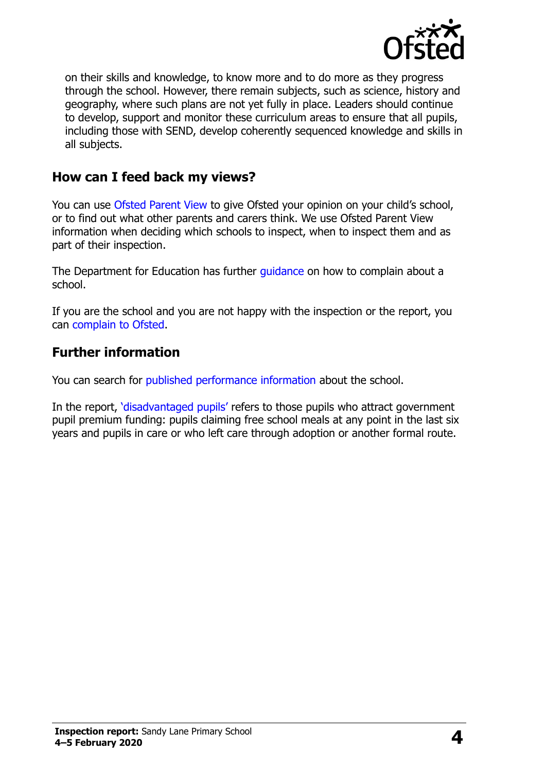

on their skills and knowledge, to know more and to do more as they progress through the school. However, there remain subjects, such as science, history and geography, where such plans are not yet fully in place. Leaders should continue to develop, support and monitor these curriculum areas to ensure that all pupils, including those with SEND, develop coherently sequenced knowledge and skills in all subjects.

## **How can I feed back my views?**

You can use [Ofsted Parent View](http://parentview.ofsted.gov.uk/) to give Ofsted your opinion on your child's school, or to find out what other parents and carers think. We use Ofsted Parent View information when deciding which schools to inspect, when to inspect them and as part of their inspection.

The Department for Education has further quidance on how to complain about a school.

If you are the school and you are not happy with the inspection or the report, you can [complain to Ofsted.](http://www.gov.uk/complain-ofsted-report)

## **Further information**

You can search for [published performance information](http://www.compare-school-performance.service.gov.uk/) about the school.

In the report, '[disadvantaged pupils](http://www.gov.uk/guidance/pupil-premium-information-for-schools-and-alternative-provision-settings)' refers to those pupils who attract government pupil premium funding: pupils claiming free school meals at any point in the last six years and pupils in care or who left care through adoption or another formal route.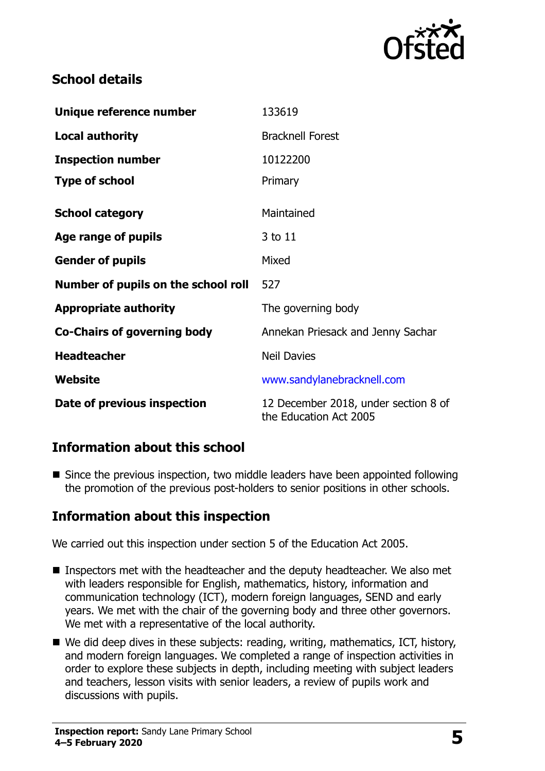

# **School details**

| Unique reference number             | 133619                                                         |  |
|-------------------------------------|----------------------------------------------------------------|--|
| <b>Local authority</b>              | <b>Bracknell Forest</b>                                        |  |
| <b>Inspection number</b>            | 10122200                                                       |  |
| <b>Type of school</b>               | Primary                                                        |  |
| <b>School category</b>              | Maintained                                                     |  |
| Age range of pupils                 | 3 to 11                                                        |  |
| <b>Gender of pupils</b>             | Mixed                                                          |  |
| Number of pupils on the school roll | 527                                                            |  |
| <b>Appropriate authority</b>        | The governing body                                             |  |
| <b>Co-Chairs of governing body</b>  | Annekan Priesack and Jenny Sachar                              |  |
| <b>Headteacher</b>                  | <b>Neil Davies</b>                                             |  |
| Website                             | www.sandylanebracknell.com                                     |  |
| Date of previous inspection         | 12 December 2018, under section 8 of<br>the Education Act 2005 |  |

## **Information about this school**

■ Since the previous inspection, two middle leaders have been appointed following the promotion of the previous post-holders to senior positions in other schools.

## **Information about this inspection**

We carried out this inspection under section 5 of the Education Act 2005.

- Inspectors met with the headteacher and the deputy headteacher. We also met with leaders responsible for English, mathematics, history, information and communication technology (ICT), modern foreign languages, SEND and early years. We met with the chair of the governing body and three other governors. We met with a representative of the local authority.
- We did deep dives in these subjects: reading, writing, mathematics, ICT, history, and modern foreign languages. We completed a range of inspection activities in order to explore these subjects in depth, including meeting with subject leaders and teachers, lesson visits with senior leaders, a review of pupils work and discussions with pupils.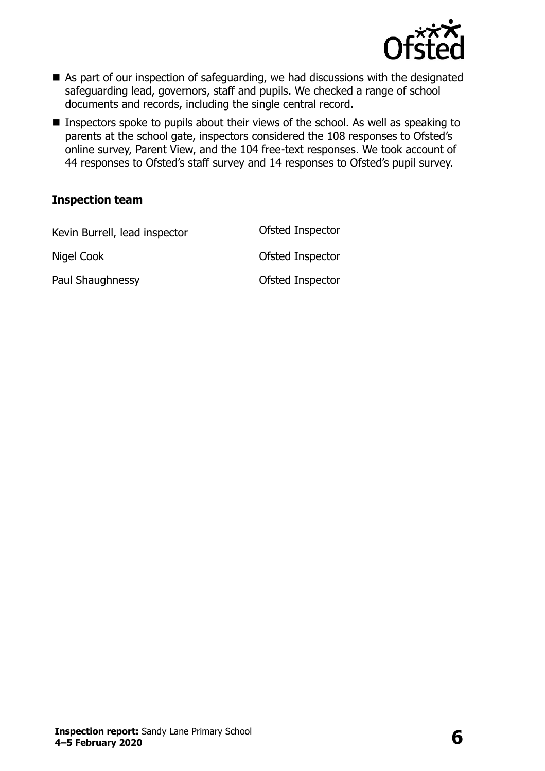

- As part of our inspection of safeguarding, we had discussions with the designated safeguarding lead, governors, staff and pupils. We checked a range of school documents and records, including the single central record.
- **Inspectors spoke to pupils about their views of the school. As well as speaking to** parents at the school gate, inspectors considered the 108 responses to Ofsted's online survey, Parent View, and the 104 free-text responses. We took account of 44 responses to Ofsted's staff survey and 14 responses to Ofsted's pupil survey.

#### **Inspection team**

| Kevin Burrell, lead inspector | Ofsted Inspector |
|-------------------------------|------------------|
| Nigel Cook                    | Ofsted Inspector |
| Paul Shaughnessy              | Ofsted Inspector |